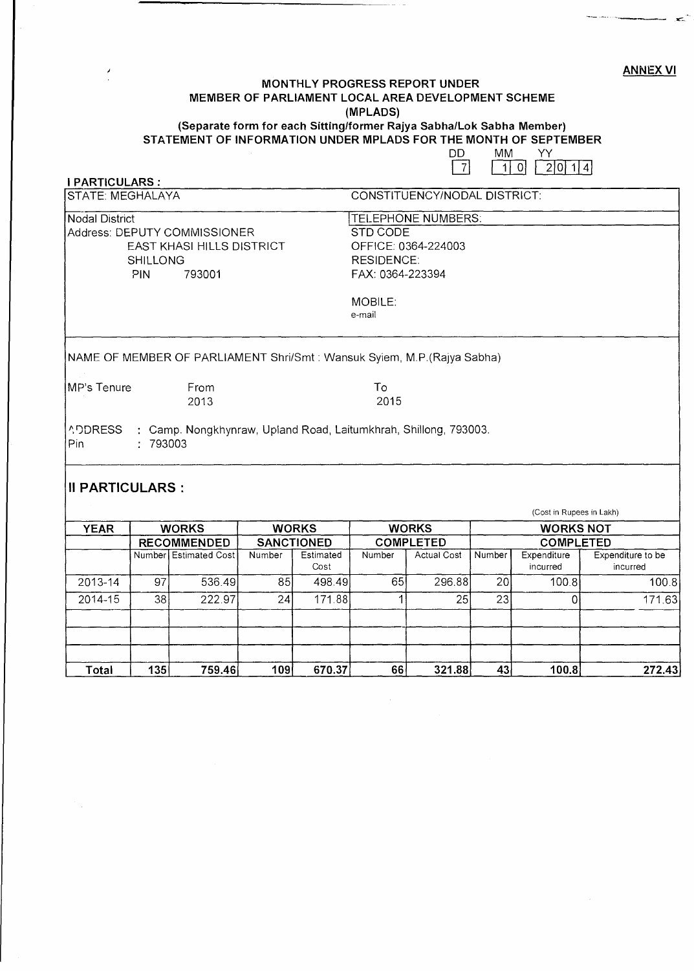#### ANNEX VI

 $<$ 

## **MONTHLY PROGRESS REPORT UNDER MEMBER OF PARLIAMENT LOCAL AREA DEVELOPMENT SCHEME (MPLADS) (Separate form for each Sitting/former Rajya Sabha/Lok Sabha Member) STATEMENT OF INFORMATION UNDER MPLADS FOR THE MONTH OF SEPTEMBER**

| ונו | MM |  |  |      |    |
|-----|----|--|--|------|----|
|     |    |  |  | 2101 | 41 |

| <b>PARTICULARS:</b>                                            |        |                                                                                  |        |                   |                   |                              |        |                          |                               |
|----------------------------------------------------------------|--------|----------------------------------------------------------------------------------|--------|-------------------|-------------------|------------------------------|--------|--------------------------|-------------------------------|
| <b>STATE: MEGHALAYA</b>                                        |        |                                                                                  |        |                   |                   | CONSTITUENCY/NODAL DISTRICT: |        |                          |                               |
| <b>Nodal District</b>                                          |        |                                                                                  |        |                   |                   | TELEPHONE NUMBERS:           |        |                          |                               |
| Address: DEPUTY COMMISSIONER                                   |        |                                                                                  |        |                   | <b>STD CODE</b>   |                              |        |                          |                               |
| EAST KHASI HILLS DISTRICT                                      |        |                                                                                  |        |                   |                   | OFFICE: 0364-224003          |        |                          |                               |
| <b>SHILLONG</b>                                                |        |                                                                                  |        |                   | <b>RESIDENCE:</b> |                              |        |                          |                               |
|                                                                | PIN    | 793001                                                                           |        |                   | FAX: 0364-223394  |                              |        |                          |                               |
|                                                                |        |                                                                                  |        |                   | MOBILE:           |                              |        |                          |                               |
|                                                                |        |                                                                                  |        |                   | e-mail            |                              |        |                          |                               |
| MP's Tenure<br><b>ADDRESS</b><br>Pin<br><b>II PARTICULARS:</b> | 793003 | From<br>2013<br>: Camp. Nongkhynraw, Upland Road, Laitumkhrah, Shillong, 793003. |        |                   | To<br>2015        |                              |        | (Cost in Rupees in Lakh) |                               |
| <b>YEAR</b>                                                    |        | <b>WORKS</b>                                                                     |        | <b>WORKS</b>      |                   | <b>WORKS</b>                 |        | <b>WORKS NOT</b>         |                               |
| <b>RECOMMENDED</b>                                             |        | <b>SANCTIONED</b>                                                                |        | <b>COMPLETED</b>  |                   | <b>COMPLETED</b>             |        |                          |                               |
|                                                                |        | Number Estimated Cost                                                            | Number | Estimated<br>Cost | Number            | <b>Actual Cost</b>           | Number | Expenditure<br>incurred  | Expenditure to be<br>incurred |
| 2013-14                                                        | 97     | 536.49                                                                           | 85     | 498.49            | 65                | 296.88                       | 20     | 100.8                    | 100.8                         |
| 2014-15                                                        | 38     | 222.97                                                                           | 24     | 171.88            |                   | 25                           | 23     | 0                        | 171.63                        |
|                                                                |        |                                                                                  |        |                   |                   |                              |        |                          |                               |
|                                                                |        |                                                                                  |        |                   |                   |                              |        |                          |                               |

**Total 135 759.46 109 670.37 66 321.88 43 100.8 272.43**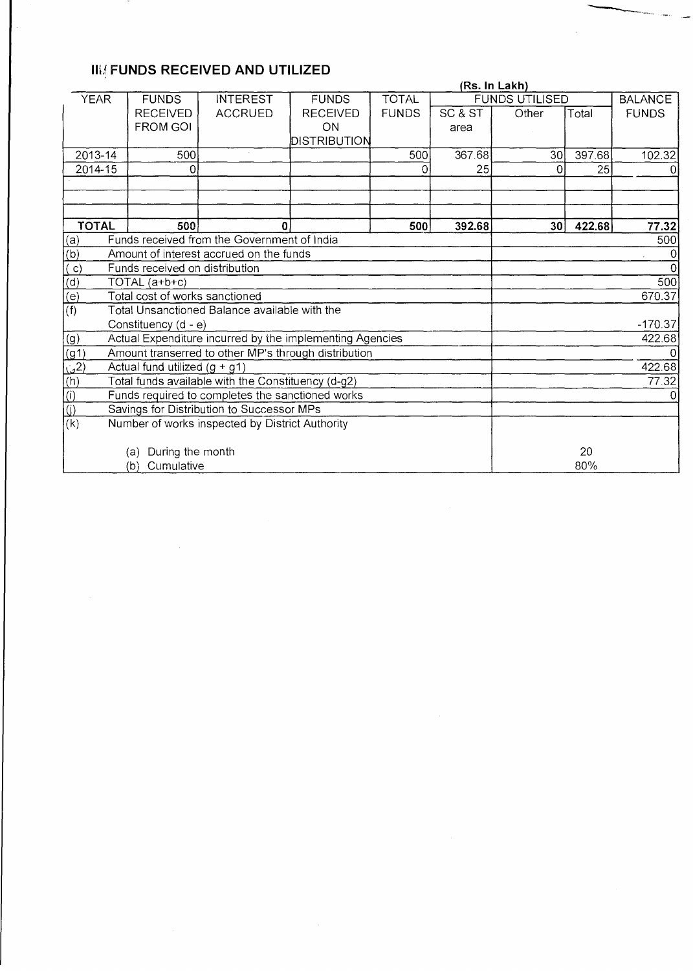# **III**{ **FUNDS RECEIVED AND UTILIZED**

|                                                                                                                                               |                                                          | (Rs. In Lakh)                                 |                 |              |         |                       |                |              |  |  |  |
|-----------------------------------------------------------------------------------------------------------------------------------------------|----------------------------------------------------------|-----------------------------------------------|-----------------|--------------|---------|-----------------------|----------------|--------------|--|--|--|
| <b>YEAR</b>                                                                                                                                   | <b>FUNDS</b>                                             | <b>INTEREST</b>                               | <b>FUNDS</b>    | <b>TOTAL</b> |         | <b>FUNDS UTILISED</b> | <b>BALANCE</b> |              |  |  |  |
|                                                                                                                                               | <b>RECEIVED</b>                                          | <b>ACCRUED</b>                                | <b>RECEIVED</b> | <b>FUNDS</b> | SC & ST | Other                 | Total          | <b>FUNDS</b> |  |  |  |
|                                                                                                                                               | <b>FROM GOI</b>                                          |                                               | ON              |              | area    |                       |                |              |  |  |  |
|                                                                                                                                               |                                                          |                                               | DISTRIBUTION    |              |         |                       |                |              |  |  |  |
| 2013-14                                                                                                                                       | 500                                                      |                                               |                 | 500          | 367.68  | 30 <sup>1</sup>       | 397.68         | 102.32       |  |  |  |
| 2014-15                                                                                                                                       | 0                                                        |                                               |                 | ∩            | 25      | 0                     | 25             | 0            |  |  |  |
|                                                                                                                                               |                                                          |                                               |                 |              |         |                       |                |              |  |  |  |
|                                                                                                                                               |                                                          |                                               |                 |              |         |                       |                |              |  |  |  |
|                                                                                                                                               |                                                          |                                               |                 |              |         |                       |                |              |  |  |  |
| <b>TOTAL</b>                                                                                                                                  | 500                                                      | $\bf{0}$                                      |                 | 500          | 392.68  | 30 <sub>1</sub>       | 422.68         | 77.32        |  |  |  |
|                                                                                                                                               |                                                          | Funds received from the Government of India   |                 |              |         | 500                   |                |              |  |  |  |
| $\begin{array}{c} \begin{array}{c} \text{(a)} \\ \text{(b)} \end{array} \\ \begin{array}{c} \text{(c)} \\ \text{(d)} \end{array} \end{array}$ |                                                          | Amount of interest accrued on the funds       |                 |              |         |                       |                |              |  |  |  |
|                                                                                                                                               | Funds received on distribution                           |                                               |                 |              |         |                       |                |              |  |  |  |
|                                                                                                                                               | $TOTAL$ $(a+b+c)$                                        |                                               |                 |              |         | 500                   |                |              |  |  |  |
|                                                                                                                                               | Total cost of works sanctioned                           |                                               |                 |              |         | 670.37                |                |              |  |  |  |
| (f)                                                                                                                                           |                                                          | Total Unsanctioned Balance available with the |                 |              |         |                       |                |              |  |  |  |
|                                                                                                                                               | Constituency (d - e)                                     |                                               |                 |              |         |                       |                | $-170.37$    |  |  |  |
| $\overline{(g)}$                                                                                                                              | Actual Expenditure incurred by the implementing Agencies |                                               |                 | 422.68       |         |                       |                |              |  |  |  |
| $\frac{(g1)}{(g2)}$<br>$\frac{(g2)}{(h)}$                                                                                                     | Amount transerred to other MP's through distribution     |                                               |                 |              |         |                       |                |              |  |  |  |
|                                                                                                                                               | Actual fund utilized $(g + g1)$                          |                                               |                 |              |         |                       |                | 422.68       |  |  |  |
|                                                                                                                                               | Total funds available with the Constituency (d-g2)       |                                               |                 |              |         |                       |                | 77.32        |  |  |  |
|                                                                                                                                               | Funds required to completes the sanctioned works         |                                               |                 |              |         |                       |                |              |  |  |  |
| $\overline{(\mathbf{j})}$                                                                                                                     | Savings for Distribution to Successor MPs                |                                               |                 |              |         |                       |                |              |  |  |  |
| (k)                                                                                                                                           | Number of works inspected by District Authority          |                                               |                 |              |         |                       |                |              |  |  |  |
|                                                                                                                                               |                                                          |                                               |                 |              |         |                       |                |              |  |  |  |
|                                                                                                                                               | During the month<br>(a)                                  |                                               |                 |              |         |                       | 20             |              |  |  |  |
|                                                                                                                                               | Cumulative<br>(b)                                        |                                               |                 |              |         |                       |                | 80%          |  |  |  |